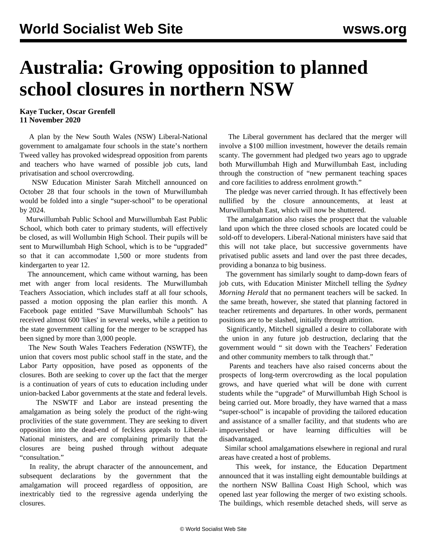## **Australia: Growing opposition to planned school closures in northern NSW**

## **Kaye Tucker, Oscar Grenfell 11 November 2020**

 A plan by the New South Wales (NSW) Liberal-National government to amalgamate four schools in the state's northern Tweed valley has provoked widespread opposition from parents and teachers who have warned of possible job cuts, land privatisation and school overcrowding.

 NSW Education Minister Sarah Mitchell announced on October 28 that four schools in the town of Murwillumbah would be folded into a single "super-school" to be operational by 2024.

 Murwillumbah Public School and Murwillumbah East Public School, which both cater to primary students, will effectively be closed, as will Wollumbin High School. Their pupils will be sent to Murwillumbah High School, which is to be "upgraded" so that it can accommodate 1,500 or more students from kindergarten to year 12.

 The announcement, which came without warning, has been met with anger from local residents. The Murwillumbah Teachers Association, which includes staff at all four schools, passed a motion opposing the plan earlier this month. A Facebook page entitled "Save Murwillumbah Schools" has received almost 600 'likes' in several weeks, while a petition to the state government calling for the merger to be scrapped has been signed by more than 3,000 people.

 The New South Wales Teachers Federation (NSWTF), the union that covers most public school staff in the state, and the Labor Party opposition, have posed as opponents of the closures. Both are seeking to cover up the fact that the merger is a continuation of years of cuts to education including under union-backed Labor governments at the state and federal levels.

 The NSWTF and Labor are instead presenting the amalgamation as being solely the product of the right-wing proclivities of the state government. They are seeking to divert opposition into the dead-end of feckless appeals to Liberal-National ministers, and are complaining primarily that the closures are being pushed through without adequate "consultation."

 In reality, the abrupt character of the announcement, and subsequent declarations by the government that the amalgamation will proceed regardless of opposition, are inextricably tied to the regressive agenda underlying the closures.

 The Liberal government has declared that the merger will involve a \$100 million investment, however the details remain scanty. The government had pledged two years ago to upgrade both Murwillumbah High and Murwillumbah East, including through the construction of "new permanent teaching spaces and core facilities to address enrolment growth."

 The pledge was never carried through. It has effectively been nullified by the closure announcements, at least at Murwillumbah East, which will now be shuttered.

 The amalgamation also raises the prospect that the valuable land upon which the three closed schools are located could be sold-off to developers. Liberal-National ministers have said that this will not take place, but successive governments have privatised public assets and land over the past three decades, providing a bonanza to big business.

 The government has similarly sought to damp-down fears of job cuts, with Education Minister Mitchell telling the *Sydney Morning Herald* that no permanent teachers will be sacked. In the same breath, however, she stated that planning factored in teacher retirements and departures. In other words, permanent positions are to be slashed, initially through attrition.

 Significantly, Mitchell signalled a desire to collaborate with the union in any future job destruction, declaring that the government would " sit down with the Teachers' Federation and other community members to talk through that."

 Parents and teachers have also raised concerns about the prospects of long-term overcrowding as the local population grows, and have queried what will be done with current students while the "upgrade" of Murwillumbah High School is being carried out. More broadly, they have warned that a mass "super-school" is incapable of providing the tailored education and assistance of a smaller facility, and that students who are impoverished or have learning difficulties will be disadvantaged.

 Similar school amalgamations elsewhere in regional and rural areas have created a host of problems.

 This week, for instance, the Education Department announced that it was installing eight demountable buildings at the northern NSW Ballina Coast High School, which was opened last year following the merger of two existing schools. The buildings, which resemble detached sheds, will serve as